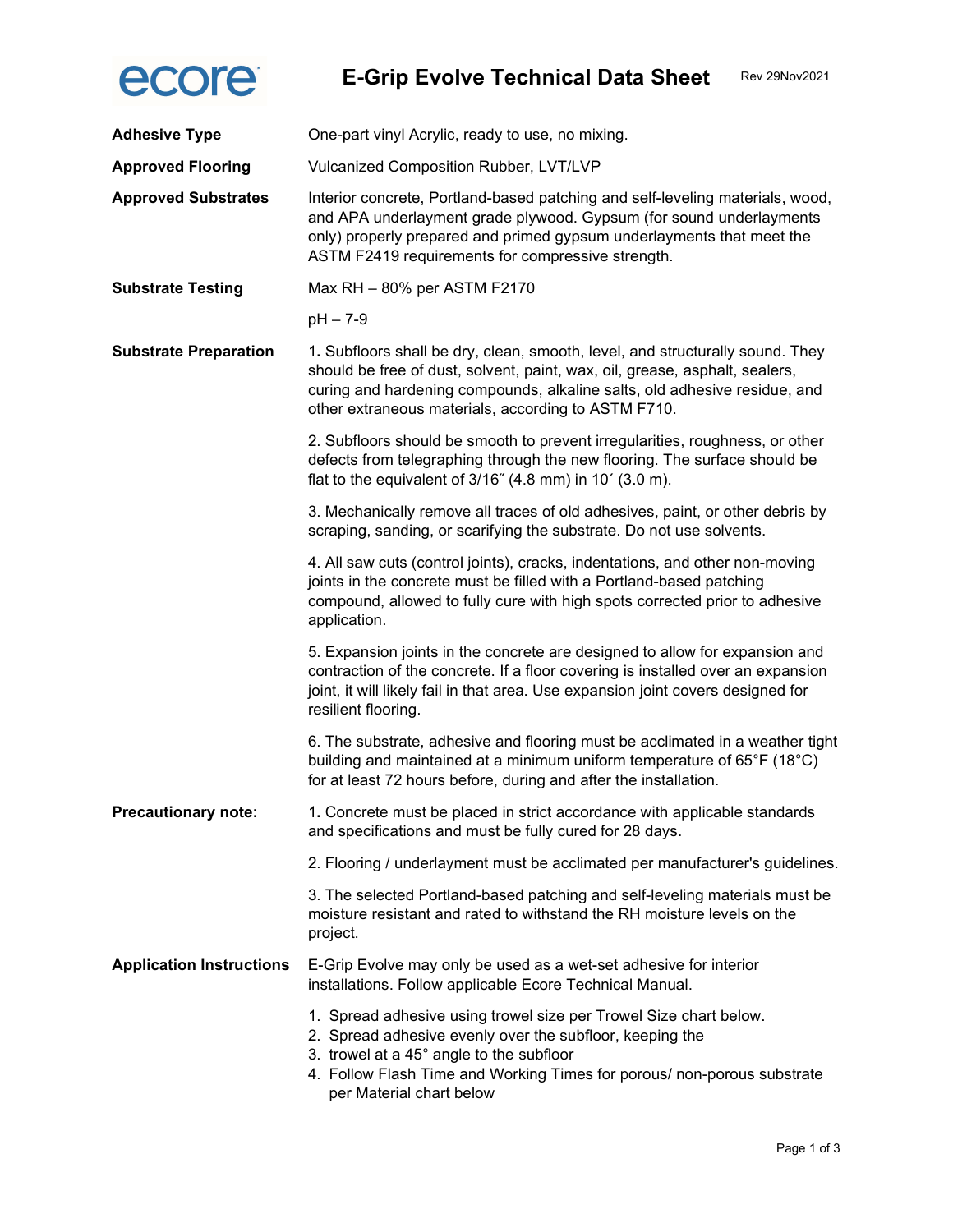

| <b>Adhesive Type</b>            | One-part vinyl Acrylic, ready to use, no mixing.                                                                                                                                                                                                                                                 |
|---------------------------------|--------------------------------------------------------------------------------------------------------------------------------------------------------------------------------------------------------------------------------------------------------------------------------------------------|
| <b>Approved Flooring</b>        | Vulcanized Composition Rubber, LVT/LVP                                                                                                                                                                                                                                                           |
| <b>Approved Substrates</b>      | Interior concrete, Portland-based patching and self-leveling materials, wood,<br>and APA underlayment grade plywood. Gypsum (for sound underlayments<br>only) properly prepared and primed gypsum underlayments that meet the<br>ASTM F2419 requirements for compressive strength.               |
| <b>Substrate Testing</b>        | Max RH - 80% per ASTM F2170                                                                                                                                                                                                                                                                      |
|                                 | $pH - 7-9$                                                                                                                                                                                                                                                                                       |
| <b>Substrate Preparation</b>    | 1. Subfloors shall be dry, clean, smooth, level, and structurally sound. They<br>should be free of dust, solvent, paint, wax, oil, grease, asphalt, sealers,<br>curing and hardening compounds, alkaline salts, old adhesive residue, and<br>other extraneous materials, according to ASTM F710. |
|                                 | 2. Subfloors should be smooth to prevent irregularities, roughness, or other<br>defects from telegraphing through the new flooring. The surface should be<br>flat to the equivalent of $3/16$ " (4.8 mm) in 10' (3.0 m).                                                                         |
|                                 | 3. Mechanically remove all traces of old adhesives, paint, or other debris by<br>scraping, sanding, or scarifying the substrate. Do not use solvents.                                                                                                                                            |
|                                 | 4. All saw cuts (control joints), cracks, indentations, and other non-moving<br>joints in the concrete must be filled with a Portland-based patching<br>compound, allowed to fully cure with high spots corrected prior to adhesive<br>application.                                              |
|                                 | 5. Expansion joints in the concrete are designed to allow for expansion and<br>contraction of the concrete. If a floor covering is installed over an expansion<br>joint, it will likely fail in that area. Use expansion joint covers designed for<br>resilient flooring.                        |
|                                 | 6. The substrate, adhesive and flooring must be acclimated in a weather tight<br>building and maintained at a minimum uniform temperature of 65°F (18°C)<br>for at least 72 hours before, during and after the installation.                                                                     |
| <b>Precautionary note:</b>      | 1. Concrete must be placed in strict accordance with applicable standards<br>and specifications and must be fully cured for 28 days.                                                                                                                                                             |
|                                 | 2. Flooring / underlayment must be acclimated per manufacturer's guidelines.                                                                                                                                                                                                                     |
|                                 | 3. The selected Portland-based patching and self-leveling materials must be<br>moisture resistant and rated to withstand the RH moisture levels on the<br>project.                                                                                                                               |
| <b>Application Instructions</b> | E-Grip Evolve may only be used as a wet-set adhesive for interior<br>installations. Follow applicable Ecore Technical Manual.                                                                                                                                                                    |
|                                 | 1. Spread adhesive using trowel size per Trowel Size chart below.<br>2. Spread adhesive evenly over the subfloor, keeping the<br>3. trowel at a 45° angle to the subfloor<br>4. Follow Flash Time and Working Times for porous/ non-porous substrate<br>per Material chart below                 |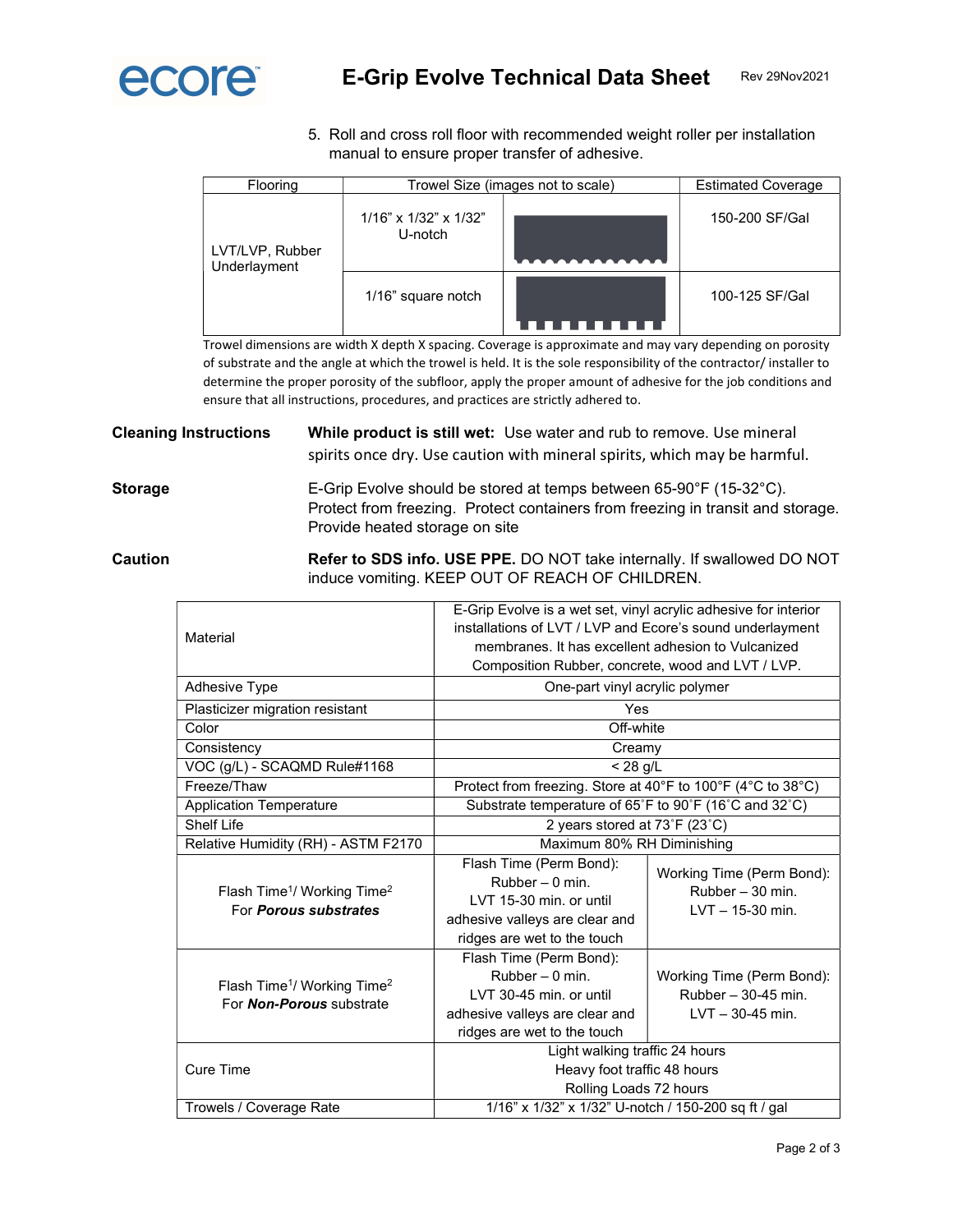

5. Roll and cross roll floor with recommended weight roller per installation manual to ensure proper transfer of adhesive.

| Flooring                        | Trowel Size (images not to scale)         |  | <b>Estimated Coverage</b> |
|---------------------------------|-------------------------------------------|--|---------------------------|
| LVT/LVP, Rubber<br>Underlayment | $1/16$ " x $1/32$ " x $1/32$ "<br>U-notch |  | 150-200 SF/Gal            |
|                                 | 1/16" square notch                        |  | 100-125 SF/Gal            |

Trowel dimensions are width X depth X spacing. Coverage is approximate and may vary depending on porosity of substrate and the angle at which the trowel is held. It is the sole responsibility of the contractor/ installer to determine the proper porosity of the subfloor, apply the proper amount of adhesive for the job conditions and ensure that all instructions, procedures, and practices are strictly adhered to.

Cleaning Instructions While product is still wet: Use water and rub to remove. Use mineral spirits once dry. Use caution with mineral spirits, which may be harmful.

Storage E-Grip Evolve should be stored at temps between 65-90°F (15-32°C). Protect from freezing. Protect containers from freezing in transit and storage. Provide heated storage on site

Caution **Refer to SDS info. USE PPE.** DO NOT take internally. If swallowed DO NOT induce vomiting. KEEP OUT OF REACH OF CHILDREN.

| Material                                                                               | E-Grip Evolve is a wet set, vinyl acrylic adhesive for interior<br>installations of LVT / LVP and Ecore's sound underlayment<br>membranes. It has excellent adhesion to Vulcanized<br>Composition Rubber, concrete, wood and LVT / LVP. |                                                                        |  |
|----------------------------------------------------------------------------------------|-----------------------------------------------------------------------------------------------------------------------------------------------------------------------------------------------------------------------------------------|------------------------------------------------------------------------|--|
| <b>Adhesive Type</b>                                                                   | One-part vinyl acrylic polymer                                                                                                                                                                                                          |                                                                        |  |
| Plasticizer migration resistant                                                        | Yes                                                                                                                                                                                                                                     |                                                                        |  |
| Color                                                                                  | Off-white                                                                                                                                                                                                                               |                                                                        |  |
| Consistency                                                                            | Creamy                                                                                                                                                                                                                                  |                                                                        |  |
| VOC (g/L) - SCAQMD Rule#1168                                                           | $< 28$ g/L                                                                                                                                                                                                                              |                                                                        |  |
| Freeze/Thaw                                                                            | Protect from freezing. Store at 40°F to 100°F (4°C to 38°C)                                                                                                                                                                             |                                                                        |  |
| <b>Application Temperature</b>                                                         | Substrate temperature of 65°F to 90°F (16°C and 32°C)                                                                                                                                                                                   |                                                                        |  |
| Shelf I ife                                                                            | 2 years stored at 73°F (23°C)                                                                                                                                                                                                           |                                                                        |  |
| Relative Humidity (RH) - ASTM F2170                                                    | Maximum 80% RH Diminishing                                                                                                                                                                                                              |                                                                        |  |
| Flash Time <sup>1</sup> / Working Time <sup>2</sup><br>For <b>Porous substrates</b>    | Flash Time (Perm Bond):<br>$Rubber - 0 min$<br>LVT 15-30 min. or until<br>adhesive valleys are clear and<br>ridges are wet to the touch                                                                                                 | Working Time (Perm Bond):<br>Rubber - 30 min.<br>$LVT - 15-30$ min.    |  |
| Flash Time <sup>1</sup> / Working Time <sup>2</sup><br>For <b>Non-Porous</b> substrate | Flash Time (Perm Bond):<br>$Rubber - 0 min$<br>LVT 30-45 min. or until<br>adhesive valleys are clear and<br>ridges are wet to the touch                                                                                                 | Working Time (Perm Bond):<br>Rubber - 30-45 min.<br>$LVT - 30-45$ min. |  |
| Cure Time                                                                              | Light walking traffic 24 hours<br>Heavy foot traffic 48 hours<br>Rolling Loads 72 hours                                                                                                                                                 |                                                                        |  |
| Trowels / Coverage Rate                                                                | 1/16" x 1/32" x 1/32" U-notch / 150-200 sq ft / gal                                                                                                                                                                                     |                                                                        |  |